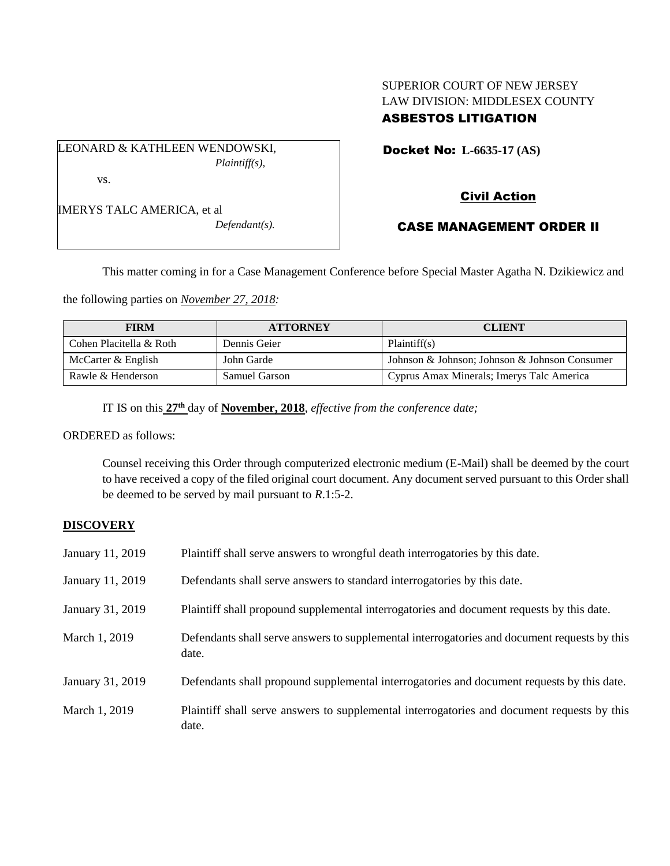### SUPERIOR COURT OF NEW JERSEY LAW DIVISION: MIDDLESEX COUNTY ASBESTOS LITIGATION

LEONARD & KATHLEEN WENDOWSKI, *Plaintiff(s),* vs.

Docket No: **L-6635-17 (AS)** 

# IMERYS TALC AMERICA, et al

*Defendant(s).*

## Civil Action

### CASE MANAGEMENT ORDER II

This matter coming in for a Case Management Conference before Special Master Agatha N. Dzikiewicz and

the following parties on *November 27, 2018:*

| <b>FIRM</b>             | <b>ATTORNEY</b> | <b>CLIENT</b>                                 |
|-------------------------|-----------------|-----------------------------------------------|
| Cohen Placitella & Roth | Dennis Geier    | Plaintiff(s)                                  |
| McCarter & English      | John Garde      | Johnson & Johnson; Johnson & Johnson Consumer |
| Rawle & Henderson       | Samuel Garson   | Cyprus Amax Minerals; Imerys Talc America     |

IT IS on this **27th** day of **November, 2018**, *effective from the conference date;*

ORDERED as follows:

Counsel receiving this Order through computerized electronic medium (E-Mail) shall be deemed by the court to have received a copy of the filed original court document. Any document served pursuant to this Order shall be deemed to be served by mail pursuant to *R*.1:5-2.

### **DISCOVERY**

| January 11, 2019 | Plaintiff shall serve answers to wrongful death interrogatories by this date.                         |
|------------------|-------------------------------------------------------------------------------------------------------|
| January 11, 2019 | Defendants shall serve answers to standard interrogatories by this date.                              |
| January 31, 2019 | Plaintiff shall propound supplemental interrogatories and document requests by this date.             |
| March 1, 2019    | Defendants shall serve answers to supplemental interrogatories and document requests by this<br>date. |
| January 31, 2019 | Defendants shall propound supplemental interrogatories and document requests by this date.            |
| March 1, 2019    | Plaintiff shall serve answers to supplemental interrogatories and document requests by this<br>date.  |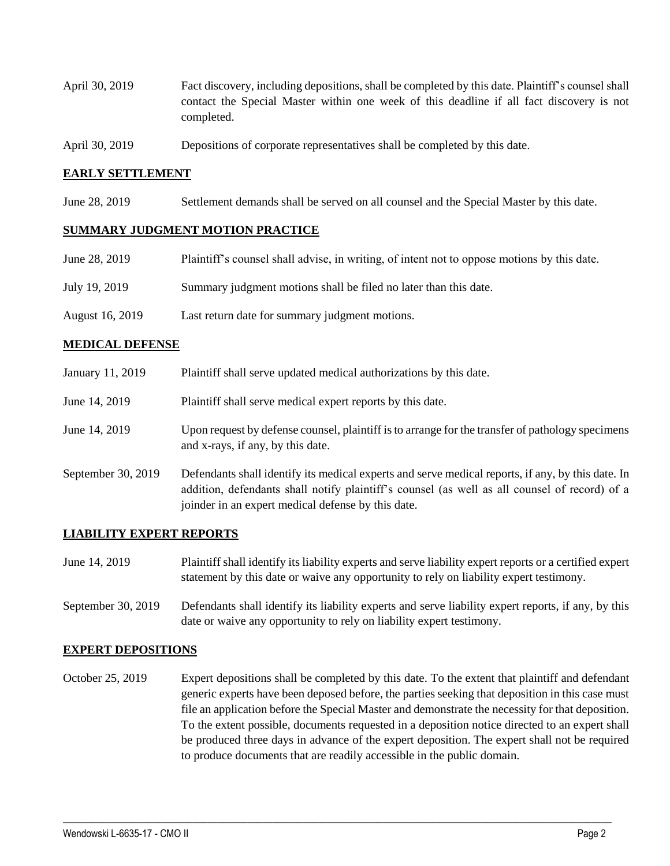- April 30, 2019 Fact discovery, including depositions, shall be completed by this date. Plaintiff's counsel shall contact the Special Master within one week of this deadline if all fact discovery is not completed.
- April 30, 2019 Depositions of corporate representatives shall be completed by this date.

#### **EARLY SETTLEMENT**

June 28, 2019 Settlement demands shall be served on all counsel and the Special Master by this date.

#### **SUMMARY JUDGMENT MOTION PRACTICE**

| June 28, 2019   | Plaintiff's counsel shall advise, in writing, of intent not to oppose motions by this date. |
|-----------------|---------------------------------------------------------------------------------------------|
| July 19, 2019   | Summary judgment motions shall be filed no later than this date.                            |
| August 16, 2019 | Last return date for summary judgment motions.                                              |

#### **MEDICAL DEFENSE**

| January 11, 2019   | Plaintiff shall serve updated medical authorizations by this date.                                                                                                                                                                                       |
|--------------------|----------------------------------------------------------------------------------------------------------------------------------------------------------------------------------------------------------------------------------------------------------|
| June 14, 2019      | Plaintiff shall serve medical expert reports by this date.                                                                                                                                                                                               |
| June 14, 2019      | Upon request by defense counsel, plaintiff is to arrange for the transfer of pathology specimens<br>and x-rays, if any, by this date.                                                                                                                    |
| September 30, 2019 | Defendants shall identify its medical experts and serve medical reports, if any, by this date. In<br>addition, defendants shall notify plaintiff's counsel (as well as all counsel of record) of a<br>joinder in an expert medical defense by this date. |

#### **LIABILITY EXPERT REPORTS**

- June 14, 2019 Plaintiff shall identify its liability experts and serve liability expert reports or a certified expert statement by this date or waive any opportunity to rely on liability expert testimony.
- September 30, 2019 Defendants shall identify its liability experts and serve liability expert reports, if any, by this date or waive any opportunity to rely on liability expert testimony.

#### **EXPERT DEPOSITIONS**

October 25, 2019 Expert depositions shall be completed by this date. To the extent that plaintiff and defendant generic experts have been deposed before, the parties seeking that deposition in this case must file an application before the Special Master and demonstrate the necessity for that deposition. To the extent possible, documents requested in a deposition notice directed to an expert shall be produced three days in advance of the expert deposition. The expert shall not be required to produce documents that are readily accessible in the public domain.

 $\_$  ,  $\_$  ,  $\_$  ,  $\_$  ,  $\_$  ,  $\_$  ,  $\_$  ,  $\_$  ,  $\_$  ,  $\_$  ,  $\_$  ,  $\_$  ,  $\_$  ,  $\_$  ,  $\_$  ,  $\_$  ,  $\_$  ,  $\_$  ,  $\_$  ,  $\_$  ,  $\_$  ,  $\_$  ,  $\_$  ,  $\_$  ,  $\_$  ,  $\_$  ,  $\_$  ,  $\_$  ,  $\_$  ,  $\_$  ,  $\_$  ,  $\_$  ,  $\_$  ,  $\_$  ,  $\_$  ,  $\_$  ,  $\_$  ,